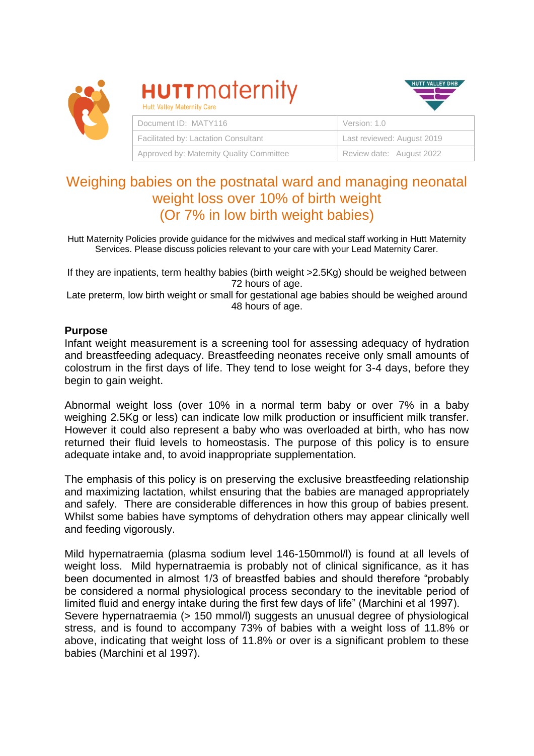

# **HUTT** maternity Hutt Valley Maternity Care



|  | Document ID: MATY116                     | Version: 1.0               |  |  |
|--|------------------------------------------|----------------------------|--|--|
|  | Facilitated by: Lactation Consultant     | Last reviewed: August 2019 |  |  |
|  | Approved by: Maternity Quality Committee | Review date: August 2022   |  |  |

# Weighing babies on the postnatal ward and managing neonatal weight loss over 10% of birth weight (Or 7% in low birth weight babies)

Hutt Maternity Policies provide guidance for the midwives and medical staff working in Hutt Maternity Services. Please discuss policies relevant to your care with your Lead Maternity Carer.

If they are inpatients, term healthy babies (birth weight >2.5Kg) should be weighed between 72 hours of age.

Late preterm, low birth weight or small for gestational age babies should be weighed around 48 hours of age.

#### **Purpose**

Infant weight measurement is a screening tool for assessing adequacy of hydration and breastfeeding adequacy. Breastfeeding neonates receive only small amounts of colostrum in the first days of life. They tend to lose weight for 3-4 days, before they begin to gain weight.

Abnormal weight loss (over 10% in a normal term baby or over 7% in a baby weighing 2.5Kg or less) can indicate low milk production or insufficient milk transfer. However it could also represent a baby who was overloaded at birth, who has now returned their fluid levels to homeostasis. The purpose of this policy is to ensure adequate intake and, to avoid inappropriate supplementation.

The emphasis of this policy is on preserving the exclusive breastfeeding relationship and maximizing lactation, whilst ensuring that the babies are managed appropriately and safely. There are considerable differences in how this group of babies present. Whilst some babies have symptoms of dehydration others may appear clinically well and feeding vigorously.

Mild hypernatraemia (plasma sodium level 146-150mmol/l) is found at all levels of weight loss. Mild hypernatraemia is probably not of clinical significance, as it has been documented in almost 1/3 of breastfed babies and should therefore "probably be considered a normal physiological process secondary to the inevitable period of limited fluid and energy intake during the first few days of life" (Marchini et al 1997). Severe hypernatraemia (> 150 mmol/l) suggests an unusual degree of physiological stress, and is found to accompany 73% of babies with a weight loss of 11.8% or above, indicating that weight loss of 11.8% or over is a significant problem to these babies (Marchini et al 1997).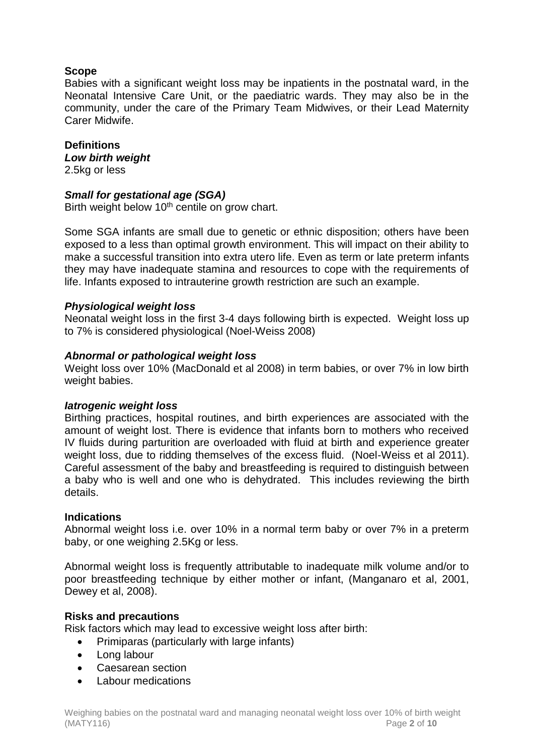### **Scope**

Babies with a significant weight loss may be inpatients in the postnatal ward, in the Neonatal Intensive Care Unit, or the paediatric wards. They may also be in the community, under the care of the Primary Team Midwives, or their Lead Maternity Carer Midwife.

#### **Definitions**

*Low birth weight* 

2.5kg or less

#### *Small for gestational age (SGA)*

Birth weight below 10<sup>th</sup> centile on grow chart.

Some SGA infants are small due to genetic or ethnic disposition; others have been exposed to a less than optimal growth environment. This will impact on their ability to make a successful transition into extra utero life. Even as term or late preterm infants they may have inadequate stamina and resources to cope with the requirements of life. Infants exposed to intrauterine growth restriction are such an example.

#### *Physiological weight loss*

Neonatal weight loss in the first 3-4 days following birth is expected. Weight loss up to 7% is considered physiological (Noel-Weiss 2008)

#### *Abnormal or pathological weight loss*

Weight loss over 10% (MacDonald et al 2008) in term babies, or over 7% in low birth weight babies.

#### *Iatrogenic weight loss*

Birthing practices, hospital routines, and birth experiences are associated with the amount of weight lost. There is evidence that infants born to mothers who received IV fluids during parturition are overloaded with fluid at birth and experience greater weight loss, due to ridding themselves of the excess fluid. (Noel-Weiss et al 2011). Careful assessment of the baby and breastfeeding is required to distinguish between a baby who is well and one who is dehydrated. This includes reviewing the birth details.

#### **Indications**

Abnormal weight loss i.e. over 10% in a normal term baby or over 7% in a preterm baby, or one weighing 2.5Kg or less.

Abnormal weight loss is frequently attributable to inadequate milk volume and/or to poor breastfeeding technique by either mother or infant, (Manganaro et al, 2001, Dewey et al, 2008).

#### **Risks and precautions**

Risk factors which may lead to excessive weight loss after birth:

- Primiparas (particularly with large infants)
- Long labour
- Caesarean section
- Labour medications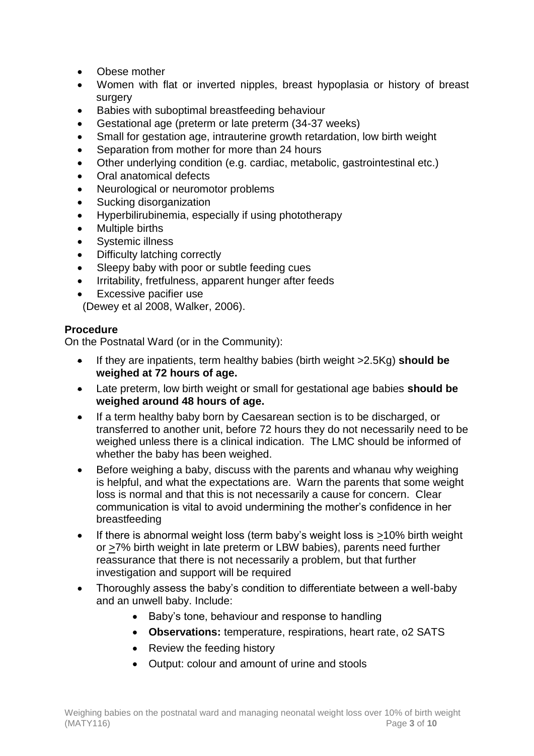- Obese mother
- Women with flat or inverted nipples, breast hypoplasia or history of breast surgery
- Babies with suboptimal breastfeeding behaviour
- Gestational age (preterm or late preterm (34-37 weeks)
- Small for gestation age, intrauterine growth retardation, low birth weight
- Separation from mother for more than 24 hours
- Other underlying condition (e.g. cardiac, metabolic, gastrointestinal etc.)
- Oral anatomical defects
- Neurological or neuromotor problems
- Sucking disorganization
- Hyperbilirubinemia, especially if using phototherapy
- Multiple births
- Systemic illness
- Difficulty latching correctly
- Sleepy baby with poor or subtle feeding cues
- Irritability, fretfulness, apparent hunger after feeds
- Excessive pacifier use

(Dewey et al 2008, Walker, 2006).

# **Procedure**

On the Postnatal Ward (or in the Community):

- If they are inpatients, term healthy babies (birth weight >2.5Kg) **should be weighed at 72 hours of age.**
- Late preterm, low birth weight or small for gestational age babies **should be weighed around 48 hours of age.**
- If a term healthy baby born by Caesarean section is to be discharged, or transferred to another unit, before 72 hours they do not necessarily need to be weighed unless there is a clinical indication. The LMC should be informed of whether the baby has been weighed.
- Before weighing a baby, discuss with the parents and whanau why weighing is helpful, and what the expectations are. Warn the parents that some weight loss is normal and that this is not necessarily a cause for concern. Clear communication is vital to avoid undermining the mother's confidence in her breastfeeding
- If there is abnormal weight loss (term baby's weight loss is >10% birth weight or >7% birth weight in late preterm or LBW babies), parents need further reassurance that there is not necessarily a problem, but that further investigation and support will be required
- Thoroughly assess the baby's condition to differentiate between a well-baby and an unwell baby. Include:
	- Baby's tone, behaviour and response to handling
	- **Observations:** temperature, respirations, heart rate, o2 SATS
	- Review the feeding history
	- Output: colour and amount of urine and stools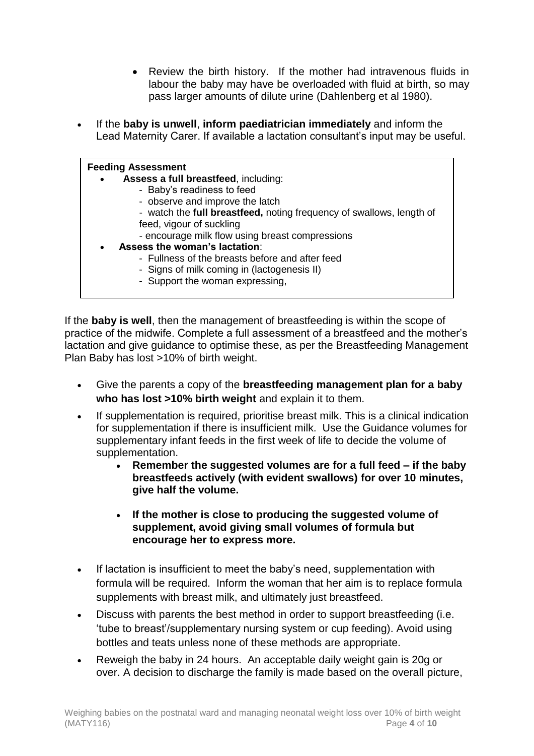- Review the birth history. If the mother had intravenous fluids in labour the baby may have be overloaded with fluid at birth, so may pass larger amounts of dilute urine (Dahlenberg et al 1980).
- If the **baby is unwell**, **inform paediatrician immediately** and inform the Lead Maternity Carer. If available a lactation consultant's input may be useful.

| <b>Feeding Assessment</b>                                            |  |  |  |  |  |
|----------------------------------------------------------------------|--|--|--|--|--|
| Assess a full breastfeed, including:<br>$\bullet$                    |  |  |  |  |  |
| - Baby's readiness to feed                                           |  |  |  |  |  |
| - observe and improve the latch                                      |  |  |  |  |  |
| - watch the full breastfeed, noting frequency of swallows, length of |  |  |  |  |  |
| feed, vigour of suckling                                             |  |  |  |  |  |
| - encourage milk flow using breast compressions                      |  |  |  |  |  |
| Assess the woman's lactation:<br>$\bullet$                           |  |  |  |  |  |
| - Fullness of the breasts before and after feed                      |  |  |  |  |  |
| - Signs of milk coming in (lactogenesis II)                          |  |  |  |  |  |
| - Support the woman expressing,                                      |  |  |  |  |  |

If the **baby is well**, then the management of breastfeeding is within the scope of practice of the midwife. Complete a full assessment of a breastfeed and the mother's lactation and give guidance to optimise these, as per the Breastfeeding Management Plan Baby has lost >10% of birth weight.

- Give the parents a copy of the **breastfeeding management plan for a baby who has lost >10% birth weight** and explain it to them.
- If supplementation is required, prioritise breast milk. This is a clinical indication for supplementation if there is insufficient milk. Use the Guidance volumes for supplementary infant feeds in the first week of life to decide the volume of supplementation.
	- **Remember the suggested volumes are for a full feed – if the baby breastfeeds actively (with evident swallows) for over 10 minutes, give half the volume.**
	- **If the mother is close to producing the suggested volume of supplement, avoid giving small volumes of formula but encourage her to express more.**
- If lactation is insufficient to meet the baby's need, supplementation with formula will be required. Inform the woman that her aim is to replace formula supplements with breast milk, and ultimately just breastfeed.
- Discuss with parents the best method in order to support breastfeeding (i.e. 'tube to breast'/supplementary nursing system or cup feeding). Avoid using bottles and teats unless none of these methods are appropriate.
- Reweigh the baby in 24 hours. An acceptable daily weight gain is 20g or over. A decision to discharge the family is made based on the overall picture,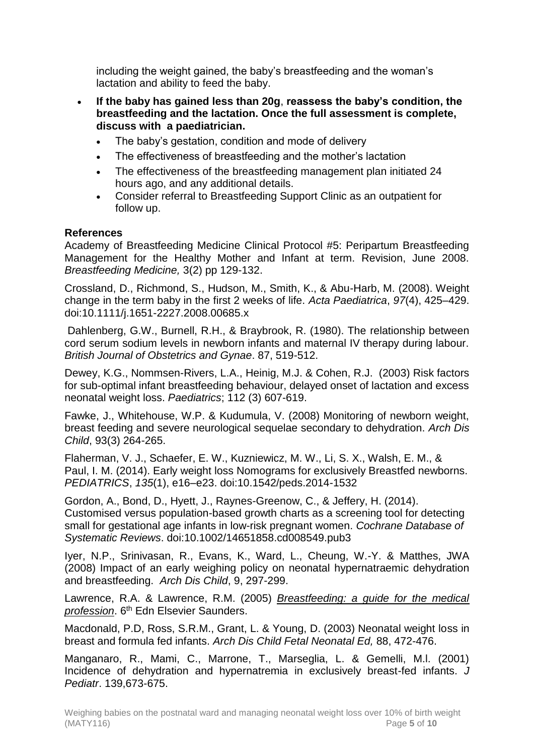including the weight gained, the baby's breastfeeding and the woman's lactation and ability to feed the baby.

- **If the baby has gained less than 20g**, **reassess the baby's condition, the breastfeeding and the lactation. Once the full assessment is complete, discuss with a paediatrician.**
	- The baby's gestation, condition and mode of delivery
	- The effectiveness of breastfeeding and the mother's lactation
	- The effectiveness of the breastfeeding management plan initiated 24 hours ago, and any additional details.
	- Consider referral to Breastfeeding Support Clinic as an outpatient for follow up.

### **References**

Academy of Breastfeeding Medicine Clinical Protocol #5: Peripartum Breastfeeding Management for the Healthy Mother and Infant at term. Revision, June 2008. *Breastfeeding Medicine,* 3(2) pp 129-132.

Crossland, D., Richmond, S., Hudson, M., Smith, K., & Abu-Harb, M. (2008). Weight change in the term baby in the first 2 weeks of life. *Acta Paediatrica*, *97*(4), 425–429. doi:10.1111/j.1651-2227.2008.00685.x

Dahlenberg, G.W., Burnell, R.H., & Braybrook, R. (1980). The relationship between cord serum sodium levels in newborn infants and maternal IV therapy during labour. *British Journal of Obstetrics and Gynae*. 87, 519-512.

Dewey, K.G., Nommsen-Rivers, L.A., Heinig, M.J. & Cohen, R.J. (2003) Risk factors for sub-optimal infant breastfeeding behaviour, delayed onset of lactation and excess neonatal weight loss. *Paediatrics*; 112 (3) 607-619.

Fawke, J., Whitehouse, W.P. & Kudumula, V. (2008) Monitoring of newborn weight, breast feeding and severe neurological sequelae secondary to dehydration. *Arch Dis Child*, 93(3) 264-265.

Flaherman, V. J., Schaefer, E. W., Kuzniewicz, M. W., Li, S. X., Walsh, E. M., & Paul, I. M. (2014). Early weight loss Nomograms for exclusively Breastfed newborns. *PEDIATRICS*, *135*(1), e16–e23. doi:10.1542/peds.2014-1532

Gordon, A., Bond, D., Hyett, J., Raynes-Greenow, C., & Jeffery, H. (2014). Customised versus population-based growth charts as a screening tool for detecting small for gestational age infants in low-risk pregnant women. *Cochrane Database of Systematic Reviews*. doi:10.1002/14651858.cd008549.pub3

Iyer, N.P., Srinivasan, R., Evans, K., Ward, L., Cheung, W.-Y. & Matthes, JWA (2008) Impact of an early weighing policy on neonatal hypernatraemic dehydration and breastfeeding. *Arch Dis Child*, 9, 297-299.

Lawrence, R.A. & Lawrence, R.M. (2005) *Breastfeeding: a guide for the medical profession*. 6th Edn Elsevier Saunders.

Macdonald, P.D, Ross, S.R.M., Grant, L. & Young, D. (2003) Neonatal weight loss in breast and formula fed infants. *Arch Dis Child Fetal Neonatal Ed,* 88, 472-476.

Manganaro, R., Mami, C., Marrone, T., Marseglia, L. & Gemelli, M.l. (2001) Incidence of dehydration and hypernatremia in exclusively breast-fed infants. *J Pediatr*. 139,673-675.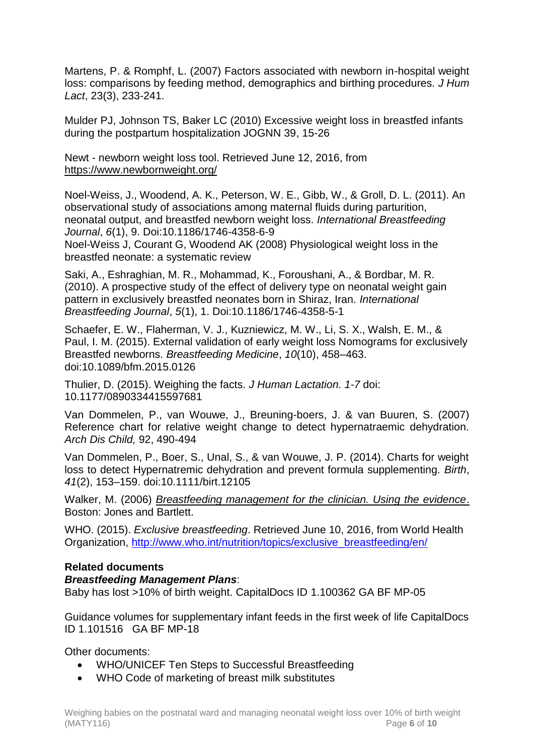Martens, P. & Romphf, L. (2007) Factors associated with newborn in-hospital weight loss: comparisons by feeding method, demographics and birthing procedures. *J Hum Lact*, 23(3), 233-241.

Mulder PJ, Johnson TS, Baker LC (2010) Excessive weight loss in breastfed infants during the postpartum hospitalization JOGNN 39, 15-26

Newt - newborn weight loss tool. Retrieved June 12, 2016, from <https://www.newbornweight.org/>

Noel-Weiss, J., Woodend, A. K., Peterson, W. E., Gibb, W., & Groll, D. L. (2011). An observational study of associations among maternal fluids during parturition, neonatal output, and breastfed newborn weight loss. *International Breastfeeding Journal*, *6*(1), 9. Doi:10.1186/1746-4358-6-9

Noel-Weiss J, Courant G, Woodend AK (2008) Physiological weight loss in the breastfed neonate: a systematic review

Saki, A., Eshraghian, M. R., Mohammad, K., Foroushani, A., & Bordbar, M. R. (2010). A prospective study of the effect of delivery type on neonatal weight gain pattern in exclusively breastfed neonates born in Shiraz, Iran. *International Breastfeeding Journal*, *5*(1), 1. Doi:10.1186/1746-4358-5-1

Schaefer, E. W., Flaherman, V. J., Kuzniewicz, M. W., Li, S. X., Walsh, E. M., & Paul, I. M. (2015). External validation of early weight loss Nomograms for exclusively Breastfed newborns. *Breastfeeding Medicine*, *10*(10), 458–463. doi:10.1089/bfm.2015.0126

Thulier, D. (2015). Weighing the facts. *J Human Lactation. 1-7* doi: 10.1177/0890334415597681

Van Dommelen, P., van Wouwe, J., Breuning-boers, J. & van Buuren, S. (2007) Reference chart for relative weight change to detect hypernatraemic dehydration. *Arch Dis Child,* 92, 490-494

Van Dommelen, P., Boer, S., Unal, S., & van Wouwe, J. P. (2014). Charts for weight loss to detect Hypernatremic dehydration and prevent formula supplementing. *Birth*, *41*(2), 153–159. doi:10.1111/birt.12105

Walker, M. (2006) *Breastfeeding management for the clinician. Using the evidence*. Boston: Jones and Bartlett.

WHO. (2015). *Exclusive breastfeeding*. Retrieved June 10, 2016, from World Health Organization, [http://www.who.int/nutrition/topics/exclusive\\_breastfeeding/en/](http://www.who.int/nutrition/topics/exclusive_breastfeeding/en/)

# **Related documents**

*Breastfeeding Management Plans*:

Baby has lost >10% of birth weight. CapitalDocs ID 1.100362 GA BF MP-05

Guidance volumes for supplementary infant feeds in the first week of life CapitalDocs ID 1.101516 GA BF MP-18

Other documents:

- WHO/UNICEF Ten Steps to Successful Breastfeeding
- WHO Code of marketing of breast milk substitutes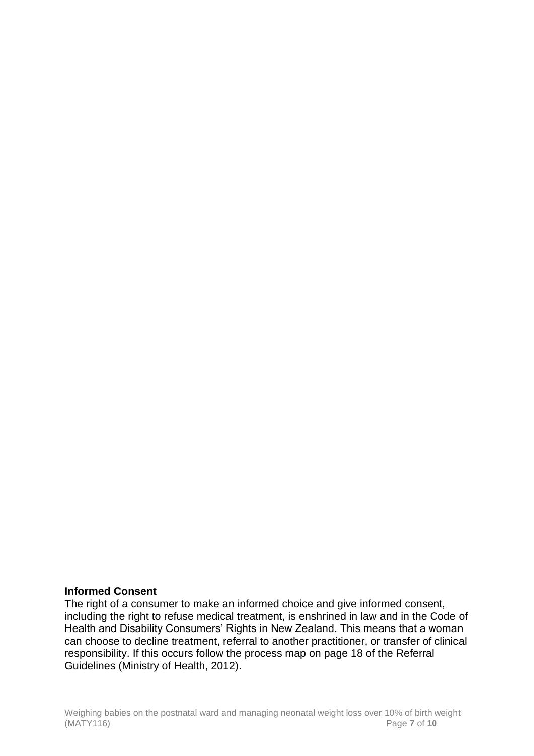#### **Informed Consent**

The right of a consumer to make an informed choice and give informed consent, including the right to refuse medical treatment, is enshrined in law and in the Code of Health and Disability Consumers' Rights in New Zealand. This means that a woman can choose to decline treatment, referral to another practitioner, or transfer of clinical responsibility. If this occurs follow the process map on page 18 of the Referral Guidelines (Ministry of Health, 2012).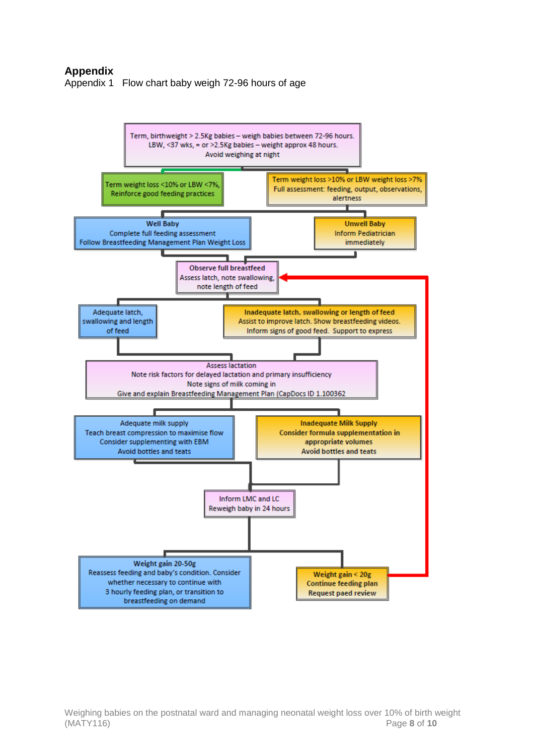# **Appendix**

Appendix 1 Flow chart baby weigh 72-96 hours of age

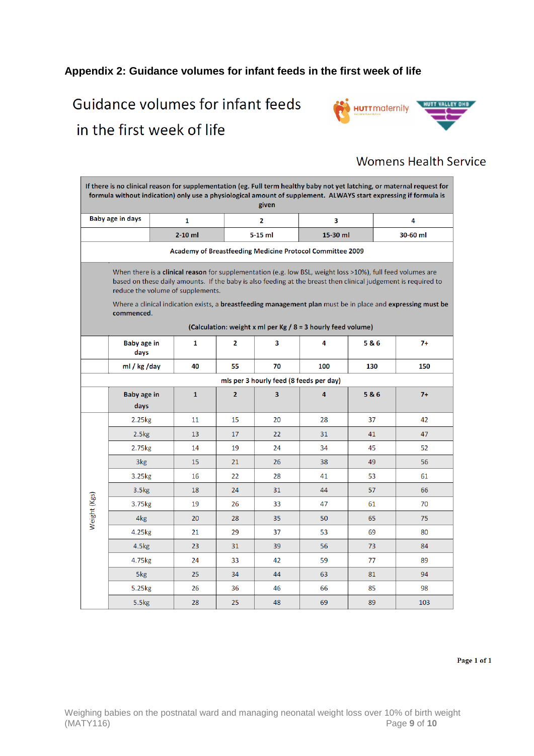# **Appendix 2: Guidance volumes for infant feeds in the first week of life**

# Guidance volumes for infant feeds in the first week of life



# **Womens Health Service**

| If there is no clinical reason for supplementation (eg. Full term healthy baby not yet latching, or maternal request for<br>formula without indication) only use a physiological amount of supplement. ALWAYS start expressing if formula is<br>given                                                                                                                                           |                      |  |              |                |                                         |                                                              |     |          |  |  |
|-------------------------------------------------------------------------------------------------------------------------------------------------------------------------------------------------------------------------------------------------------------------------------------------------------------------------------------------------------------------------------------------------|----------------------|--|--------------|----------------|-----------------------------------------|--------------------------------------------------------------|-----|----------|--|--|
| <b>Baby age in days</b>                                                                                                                                                                                                                                                                                                                                                                         |                      |  | $\mathbf{1}$ |                | 2                                       | 3                                                            |     | 4        |  |  |
|                                                                                                                                                                                                                                                                                                                                                                                                 |                      |  | $2-10$ ml    |                | 5-15 ml                                 | 15-30 ml                                                     |     | 30-60 ml |  |  |
| Academy of Breastfeeding Medicine Protocol Committee 2009                                                                                                                                                                                                                                                                                                                                       |                      |  |              |                |                                         |                                                              |     |          |  |  |
| When there is a clinical reason for supplementation (e.g. low BSL, weight loss >10%), full feed volumes are<br>based on these daily amounts. If the baby is also feeding at the breast then clinical judgement is required to<br>reduce the volume of supplements.<br>Where a clinical indication exists, a breastfeeding management plan must be in place and expressing must be<br>commenced. |                      |  |              |                |                                         |                                                              |     |          |  |  |
|                                                                                                                                                                                                                                                                                                                                                                                                 |                      |  |              |                |                                         | (Calculation: weight x ml per Kg / 8 = 3 hourly feed volume) |     |          |  |  |
|                                                                                                                                                                                                                                                                                                                                                                                                 | Baby age in<br>days  |  | $\mathbf{1}$ | 2              | 3                                       | 4                                                            | 5&6 | $7+$     |  |  |
|                                                                                                                                                                                                                                                                                                                                                                                                 | ml / $kg$ /day       |  | 40           | 55             | 70                                      | 100                                                          | 130 | 150      |  |  |
|                                                                                                                                                                                                                                                                                                                                                                                                 |                      |  |              |                | mls per 3 hourly feed (8 feeds per day) |                                                              |     |          |  |  |
|                                                                                                                                                                                                                                                                                                                                                                                                 | Baby age in<br>days  |  | $\mathbf{1}$ | $\overline{2}$ | 3                                       | 4                                                            | 5&6 | $7+$     |  |  |
|                                                                                                                                                                                                                                                                                                                                                                                                 | $2.25$ <sub>kg</sub> |  | 11           | 15             | 20                                      | 28                                                           | 37  | 42       |  |  |
|                                                                                                                                                                                                                                                                                                                                                                                                 | 2.5kg                |  | 13           | 17             | 22                                      | 31                                                           | 41  | 47       |  |  |
|                                                                                                                                                                                                                                                                                                                                                                                                 | 2.75kg               |  | 14           | 19             | 24                                      | 34                                                           | 45  | 52       |  |  |
|                                                                                                                                                                                                                                                                                                                                                                                                 | 3kg                  |  | 15           | 21             | 26                                      | 38                                                           | 49  | 56       |  |  |
|                                                                                                                                                                                                                                                                                                                                                                                                 | 3.25kg               |  | 16           | 22             | 28                                      | 41                                                           | 53  | 61       |  |  |
|                                                                                                                                                                                                                                                                                                                                                                                                 | 3.5 <sub>kg</sub>    |  | 18           | 24             | 31                                      | 44                                                           | 57  | 66       |  |  |
| Weight (Kgs)                                                                                                                                                                                                                                                                                                                                                                                    | 3.75kg               |  | 19           | 26             | 33                                      | 47                                                           | 61  | 70       |  |  |
|                                                                                                                                                                                                                                                                                                                                                                                                 | 4 <sub>kg</sub>      |  | 20           | 28             | 35                                      | 50                                                           | 65  | 75       |  |  |
|                                                                                                                                                                                                                                                                                                                                                                                                 | 4.25kg               |  | 21           | 29             | 37                                      | 53                                                           | 69  | 80       |  |  |
|                                                                                                                                                                                                                                                                                                                                                                                                 | 4.5kg                |  | 23           | 31             | 39                                      | 56                                                           | 73  | 84       |  |  |
|                                                                                                                                                                                                                                                                                                                                                                                                 | 4.75kg               |  | 24           | 33             | 42                                      | 59                                                           | 77  | 89       |  |  |
|                                                                                                                                                                                                                                                                                                                                                                                                 | 5kg                  |  | 25           | 34             | 44                                      | 63                                                           | 81  | 94       |  |  |
|                                                                                                                                                                                                                                                                                                                                                                                                 | 5.25kg               |  | 26           | 36             | 46                                      | 66                                                           | 85  | 98       |  |  |
|                                                                                                                                                                                                                                                                                                                                                                                                 | 5.5kg                |  | 28           | 25             | 48                                      | 69                                                           | 89  | 103      |  |  |